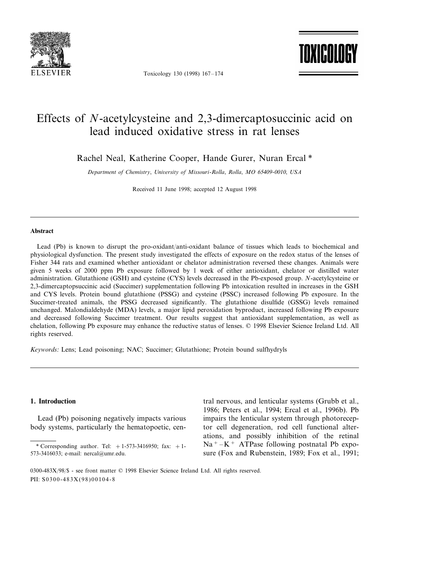

Toxicology 130 (1998) 167–174

TOXICOL

# Effects of *N*-acetylcysteine and 2,3-dimercaptosuccinic acid on lead induced oxidative stress in rat lenses

Rachel Neal, Katherine Cooper, Hande Gurer, Nuran Ercal \*

*Department of Chemistry*, *Uni*6*ersity of Missouri*-*Rolla*, *Rolla*, *MO* <sup>65409</sup>-0010, *USA*

Received 11 June 1998; accepted 12 August 1998

## **Abstract**

Lead (Pb) is known to disrupt the pro-oxidant/anti-oxidant balance of tissues which leads to biochemical and physiological dysfunction. The present study investigated the effects of exposure on the redox status of the lenses of Fisher 344 rats and examined whether antioxidant or chelator administration reversed these changes. Animals were given 5 weeks of 2000 ppm Pb exposure followed by 1 week of either antioxidant, chelator or distilled water administration. Glutathione (GSH) and cysteine (CYS) levels decreased in the Pb-exposed group. *N*-acetylcysteine or 2,3-dimercaptopsuccinic acid (Succimer) supplementation following Pb intoxication resulted in increases in the GSH and CYS levels. Protein bound glutathione (PSSG) and cysteine (PSSC) increased following Pb exposure. In the Succimer-treated animals, the PSSG decreased significantly. The glutathione disulfide (GSSG) levels remained unchanged. Malondialdehyde (MDA) levels, a major lipid peroxidation byproduct, increased following Pb exposure and decreased following Succimer treatment. Our results suggest that antioxidant supplementation, as well as chelation, following Pb exposure may enhance the reductive status of lenses. © 1998 Elsevier Science Ireland Ltd. All rights reserved.

*Keywords*: Lens; Lead poisoning; NAC; Succimer; Glutathione; Protein bound sulfhydryls

## **1. Introduction**

Lead (Pb) poisoning negatively impacts various body systems, particularly the hematopoetic, central nervous, and lenticular systems (Grubb et al., 1986; Peters et al., 1994; Ercal et al., 1996b). Pb impairs the lenticular system through photoreceptor cell degeneration, rod cell functional alterations, and possibly inhibition of the retinal  $Na<sup>+</sup> - K<sup>+</sup>$  ATPase following postnatal Pb exposure (Fox and Rubenstein, 1989; Fox et al., 1991;

<sup>\*</sup> Corresponding author. Tel:  $+1-573-3416950$ ; fax:  $+1-$ 573-3416033; e-mail: nercal@umr.edu.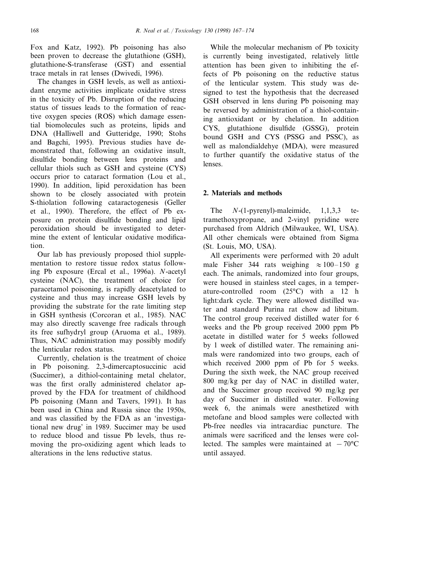Fox and Katz, 1992). Pb poisoning has also been proven to decrease the glutathione (GSH), glutathione-S-transferase (GST) and essential trace metals in rat lenses (Dwivedi, 1996).

The changes in GSH levels, as well as antioxidant enzyme activities implicate oxidative stress in the toxicity of Pb. Disruption of the reducing status of tissues leads to the formation of reactive oxygen species (ROS) which damage essential biomolecules such as proteins, lipids and DNA (Halliwell and Gutteridge, 1990; Stohs and Bagchi, 1995). Previous studies have demonstrated that, following an oxidative insult, disulfide bonding between lens proteins and cellular thiols such as GSH and cysteine (CYS) occurs prior to cataract formation (Lou et al., 1990). In addition, lipid peroxidation has been shown to be closely associated with protein S-thiolation following cataractogenesis (Geller et al., 1990). Therefore, the effect of Pb exposure on protein disulfide bonding and lipid peroxidation should be investigated to determine the extent of lenticular oxidative modification.

Our lab has previously proposed thiol supplementation to restore tissue redox status following Pb exposure (Ercal et al., 1996a). *N*-acetyl cysteine (NAC), the treatment of choice for paracetamol poisoning, is rapidly deacetylated to cysteine and thus may increase GSH levels by providing the substrate for the rate limiting step in GSH synthesis (Corcoran et al., 1985). NAC may also directly scavenge free radicals through its free sufhydryl group (Aruoma et al., 1989). Thus, NAC administration may possibly modify the lenticular redox status.

Currently, chelation is the treatment of choice in Pb poisoning. 2,3-dimercaptosuccinic acid (Succimer), a dithiol-containing metal chelator, was the first orally administered chelator approved by the FDA for treatment of childhood Pb poisoning (Mann and Tavers, 1991). It has been used in China and Russia since the 1950s, and was classified by the FDA as an 'investigational new drug' in 1989. Succimer may be used to reduce blood and tissue Pb levels, thus removing the pro-oxidizing agent which leads to alterations in the lens reductive status.

While the molecular mechanism of Pb toxicity is currently being investigated, relatively little attention has been given to inhibiting the effects of Pb poisoning on the reductive status of the lenticular system. This study was designed to test the hypothesis that the decreased GSH observed in lens during Pb poisoning may be reversed by administration of a thiol-containing antioxidant or by chelation. In addition CYS, glutathione disulfide (GSSG), protein bound GSH and CYS (PSSG and PSSC), as well as malondialdehye (MDA), were measured to further quantify the oxidative status of the lenses.

# **2. Materials and methods**

The *N*-(1-pyrenyl)-maleimide, 1,1,3,3 tetramethoxypropane, and 2-vinyl pyridine were purchased from Aldrich (Milwaukee, WI, USA). All other chemicals were obtained from Sigma (St. Louis, MO, USA).

All experiments were performed with 20 adult male Fisher 344 rats weighing  $\approx 100-150$  g each. The animals, randomized into four groups, were housed in stainless steel cages, in a temperature-controlled room (25°C) with a 12 h light:dark cycle. They were allowed distilled water and standard Purina rat chow ad libitum. The control group received distilled water for 6 weeks and the Pb group received 2000 ppm Pb acetate in distilled water for 5 weeks followed by 1 week of distilled water. The remaining animals were randomized into two groups, each of which received 2000 ppm of Pb for 5 weeks. During the sixth week, the NAC group received 800 mg/kg per day of NAC in distilled water, and the Succimer group received 90 mg/kg per day of Succimer in distilled water. Following week 6, the animals were anesthetized with metofane and blood samples were collected with Pb-free needles via intracardiac puncture. The animals were sacrificed and the lenses were collected. The samples were maintained at  $-70^{\circ}$ C until assayed.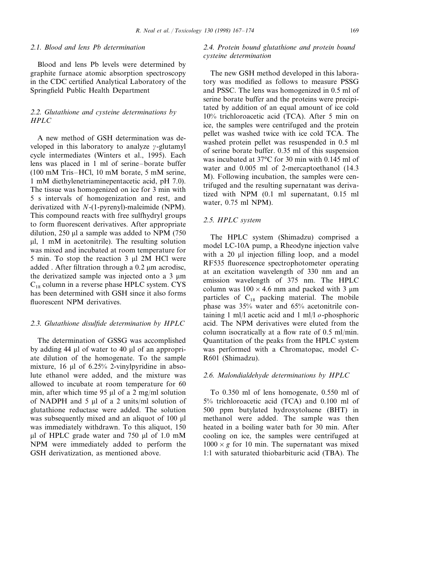## <sup>2</sup>.1. *Blood and lens Pb determination*

Blood and lens Pb levels were determined by graphite furnace atomic absorption spectroscopy in the CDC certified Analytical Laboratory of the Springfield Public Health Department

# <sup>2</sup>.2. *Glutathione and cysteine determinations by HPLC*

A new method of GSH determination was developed in this laboratory to analyze  $\gamma$ -glutamyl cycle intermediates (Winters et al., 1995). Each lens was placed in 1 ml of serine–borate buffer (100 mM Tris–HCl, 10 mM borate, 5 mM serine, 1 mM diethylenetriaminepentacetic acid, pH 7.0). The tissue was homogenized on ice for 3 min with 5 s intervals of homogenization and rest, and derivatized with *N*-(1-pyrenyl)-maleimide (NPM). This compound reacts with free sulfhydryl groups to form fluorescent derivatives. After appropriate dilution,  $250 \mu l$  a sample was added to NPM (750)  $\mu$ l, 1 mM in acetonitrile). The resulting solution was mixed and incubated at room temperature for 5 min. To stop the reaction 3 µl 2M HCl were added . After filtration through a  $0.2 \mu m$  acrodisc, the derivatized sample was injected onto a  $3 \mu m$  $C_{18}$  column in a reverse phase HPLC system. CYS has been determined with GSH since it also forms fluorescent NPM derivatives.

### <sup>2</sup>.3. *Glutathione disulfide determination by HPLC*

The determination of GSSG was accomplished by adding 44  $\mu$ l of water to 40  $\mu$ l of an appropriate dilution of the homogenate. To the sample mixture, 16  $\mu$ l of 6.25% 2-vinylpyridine in absolute ethanol were added, and the mixture was allowed to incubate at room temperature for 60 min, after which time 95  $\mu$ l of a 2 mg/ml solution of NADPH and 5 µl of a 2 units/ml solution of glutathione reductase were added. The solution was subsequently mixed and an aliquot of 100  $\mu$ l was immediately withdrawn. To this aliquot, 150  $\mu$ l of HPLC grade water and 750  $\mu$ l of 1.0 mM NPM were immediately added to perform the GSH derivatization, as mentioned above.

# <sup>2</sup>.4. *Protein bound glutathione and protein bound cysteine determination*

The new GSH method developed in this laboratory was modified as follows to measure PSSG and PSSC. The lens was homogenized in 0.5 ml of serine borate buffer and the proteins were precipitated by addition of an equal amount of ice cold 10% trichloroacetic acid (TCA). After 5 min on ice, the samples were centrifuged and the protein pellet was washed twice with ice cold TCA. The washed protein pellet was resuspended in 0.5 ml of serine borate buffer. 0.35 ml of this suspension was incubated at 37°C for 30 min with 0.145 ml of water and  $0.005$  ml of 2-mercaptoethanol (14.3) M). Following incubation, the samples were centrifuged and the resulting supernatant was derivatized with NPM (0.1 ml supernatant, 0.15 ml water, 0.75 ml NPM).

## <sup>2</sup>.5. *HPLC system*

The HPLC system (Shimadzu) comprised a model LC-10A pump, a Rheodyne injection valve with a 20  $\mu$ l injection filling loop, and a model RF535 fluorescence spectrophotometer operating at an excitation wavelength of 330 nm and an emission wavelength of 375 nm. The HPLC column was  $100 \times 4.6$  mm and packed with 3  $\mu$ m particles of  $C_{18}$  packing material. The mobile phase was 35% water and 65% acetonitrile containing 1 ml/l acetic acid and 1 ml/l *o*-phosphoric acid. The NPM derivatives were eluted from the column isocratically at a flow rate of 0.5 ml/min. Quantitation of the peaks from the HPLC system was performed with a Chromatopac, model C-R601 (Shimadzu).

#### <sup>2</sup>.6. *Malondialdehyde determinations by HPLC*

To 0.350 ml of lens homogenate, 0.550 ml of 5% trichloroacetic acid (TCA) and 0.100 ml of 500 ppm butylated hydroxytoluene (BHT) in methanol were added. The sample was then heated in a boiling water bath for 30 min. After cooling on ice, the samples were centrifuged at  $1000 \times g$  for 10 min. The supernatant was mixed 1:1 with saturated thiobarbituric acid (TBA). The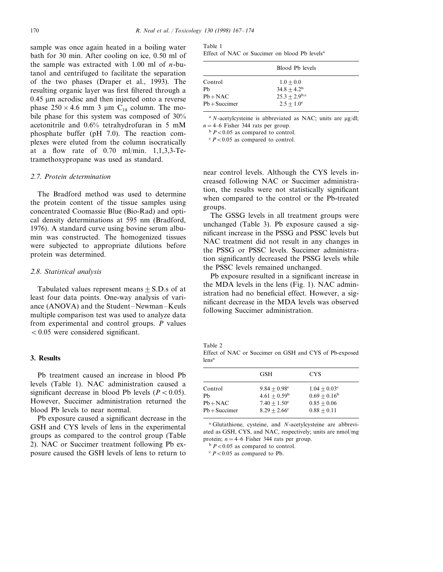sample was once again heated in a boiling water bath for 30 min. After cooling on ice, 0.50 ml of the sample was extracted with 1.00 ml of *n*-butanol and centrifuged to facilitate the separation of the two phases (Draper et al., 1993). The resulting organic layer was first filtered through a  $0.45 \mu m$  acrodisc and then injected onto a reverse phase  $250 \times 4.6$  mm 3 µm C<sub>18</sub> column. The mobile phase for this system was composed of 30% acetonitrile and 0.6% tetrahydrofuran in 5 mM phosphate buffer (pH 7.0). The reaction complexes were eluted from the column isocratically at a flow rate of 0.70 ml/min. 1,1,3,3-Tetramethoxypropane was used as standard.

## <sup>2</sup>.7. *Protein determination*

The Bradford method was used to determine the protein content of the tissue samples using concentrated Coomassie Blue (Bio-Rad) and optical density determinations at 595 nm (Bradford, 1976). A standard curve using bovine serum albumin was constructed. The homogenized tissues were subjected to appropriate dilutions before protein was determined.

#### <sup>2</sup>.8. *Statistical analysis*

Tabulated values represent means  $+$  S.D.s of at least four data points. One-way analysis of variance (ANOVA) and the Student–Newman–Keuls multiple comparison test was used to analyze data from experimental and control groups. *P* values  $< 0.05$  were considered significant.

## **3. Results**

Pb treatment caused an increase in blood Pb levels (Table 1). NAC administration caused a significant decrease in blood Pb levels  $(P < 0.05)$ . However, Succimer administration returned the blood Pb levels to near normal.

Pb exposure caused a significant decrease in the GSH and CYS levels of lens in the experimental groups as compared to the control group (Table 2). NAC or Succimer treatment following Pb exposure caused the GSH levels of lens to return to

| Table 1 |  |                                                           |  |  |
|---------|--|-----------------------------------------------------------|--|--|
|         |  | Effect of NAC or Succimer on blood Pb levels <sup>a</sup> |  |  |

|                 | Blood Pb levels     |  |
|-----------------|---------------------|--|
| Control         | $1.0 + 0.0$         |  |
| Ph              | $34.8 + 4.2^b$      |  |
| $Pb + NAC$      | $25.3 + 2.9^{b,c}$  |  |
| $Pb + Succimer$ | $2.5 + 1.0^{\circ}$ |  |

 $A^{a}$  *N*-acetylcysteine is abbreviated as NAC; units are  $\mu$ g/dl;  $n = 4$ –6 Fisher 344 rats per group.

 $\frac{b}{P}$  *P* < 0.05 as compared to control.

 $\degree$  *P* < 0.05 as compared to control.

near control levels. Although the CYS levels increased following NAC or Succimer administration, the results were not statistically significant when compared to the control or the Pb-treated groups.

The GSSG levels in all treatment groups were unchanged (Table 3). Pb exposure caused a significant increase in the PSSG and PSSC levels but NAC treatment did not result in any changes in the PSSG or PSSC levels. Succimer administration significantly decreased the PSSG levels while the PSSC levels remained unchanged.

Pb exposure resulted in a significant increase in the MDA levels in the lens (Fig. 1). NAC administration had no beneficial effect. However, a significant decrease in the MDA levels was observed following Succimer administration.

Table 2

Effect of NAC or Succimer on GSH and CYS of Pb-exposed lensa

|                 | GSH                   | <b>CYS</b>            |
|-----------------|-----------------------|-----------------------|
| Control         | $9.84 + 0.98^{\circ}$ | $1.04 + 0.03^{\circ}$ |
| Ph              | $4.61 + 0.59^{\rm b}$ | $0.69 + 0.16^b$       |
| $Pb + NAC$      | $7.40 + 1.50^{\circ}$ | $0.85 + 0.06$         |
| $Pb + Succimer$ | $8.29 + 2.66^{\circ}$ | $0.88 + 0.11$         |

<sup>a</sup> Glutathione, cysteine, and *N*-acetylcysteine are abbreviated as GSH, CYS, and NAC, respectively; units are nmol/mg protein;  $n = 4$ –6 Fisher 344 rats per group.

 $b$  *P*<0.05 as compared to control.

 $\degree$  *P* < 0.05 as compared to Pb.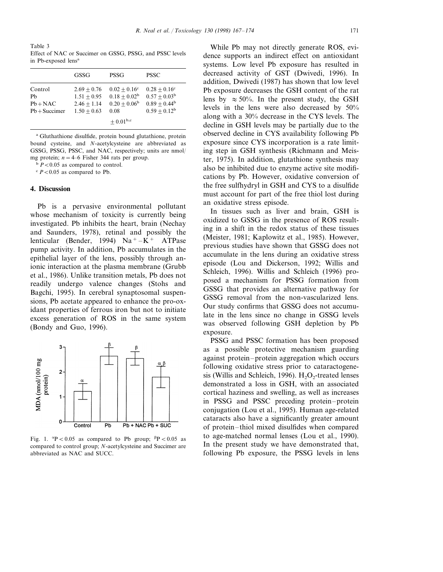Table 3 Effect of NAC or Succimer on GSSG, PSSG, and PSSC levels in Pb-exposed lens<sup>a</sup>

|                                                | <b>GSSG</b>                                                      | PSSG                                                                     | <b>PSSC</b>                                                                          |
|------------------------------------------------|------------------------------------------------------------------|--------------------------------------------------------------------------|--------------------------------------------------------------------------------------|
| Control<br>Pb<br>$Pb + NAC$<br>$Pb + Succimer$ | $2.69 + 0.76$<br>$1.51 + 0.95$<br>$2.46 + 1.14$<br>$1.50 + 0.63$ | $0.02 + 0.16$ <sup>c</sup><br>$0.18 + 0.02^b$<br>$0.20 + 0.06^b$<br>0.08 | $0.28 + 0.16^{\circ}$<br>$0.57 + 0.03^{\rm b}$<br>$0.89 + 0.44^b$<br>$0.59 + 0.12^b$ |
|                                                |                                                                  | $\pm$ 0.01 <sup>b,c</sup>                                                |                                                                                      |

<sup>a</sup> Gluthathione disulfide, protein bound glutathione, protein bound cysteine, and *N*-acetylcysteine are abbreviated as GSSG, PSSG, PSSC, and NAC, respectively; units are nmol/ mg protein;  $n = 4-6$  Fisher 344 rats per group.

 $\binom{b}{b}$  *P*<0.05 as compared to control.

 $\degree$  *P* < 0.05 as compared to Pb.

## **4. Discussion**

Pb is a pervasive environmental pollutant whose mechanism of toxicity is currently being investigated. Pb inhibits the heart, brain (Nechay and Saunders, 1978), retinal and possibly the lenticular (Bender, 1994)  $Na^+ - K^+$  ATPase pump activity. In addition, Pb accumulates in the epithelial layer of the lens, possibly through anionic interaction at the plasma membrane (Grubb et al., 1986). Unlike transition metals, Pb does not readily undergo valence changes (Stohs and Bagchi, 1995). In cerebral synaptosomal suspensions, Pb acetate appeared to enhance the pro-oxidant properties of ferrous iron but not to initiate excess generation of ROS in the same system (Bondy and Guo, 1996).



Fig. 1.  ${}^{\alpha}P$  < 0.05 as compared to Pb group;  ${}^{\beta}P$  < 0.05 as compared to control group; *N*-acetylcysteine and Succimer are abbreviated as NAC and SUCC.

While Pb may not directly generate ROS, evidence supports an indirect effect on antioxidant systems. Low level Pb exposure has resulted in decreased activity of GST (Dwivedi, 1996). In addition, Dwivedi (1987) has shown that low level Pb exposure decreases the GSH content of the rat lens by  $\approx 50\%$ . In the present study, the GSH levels in the lens were also decreased by 50% along with a 30% decrease in the CYS levels. The decline in GSH levels may be partially due to the observed decline in CYS availability following Pb exposure since CYS incorporation is a rate limiting step in GSH synthesis (Richmann and Meister, 1975). In addition, glutathione synthesis may also be inhibited due to enzyme active site modifications by Pb. However, oxidative conversion of the free sulfhydryl in GSH and CYS to a disulfide must account for part of the free thiol lost during an oxidative stress episode.

In tissues such as liver and brain, GSH is oxidized to GSSG in the presence of ROS resulting in a shift in the redox status of these tissues (Meister, 1981; Kaplowitz et al., 1985). However, previous studies have shown that GSSG does not accumulate in the lens during an oxidative stress episode (Lou and Dickerson, 1992; Willis and Schleich, 1996). Willis and Schleich (1996) proposed a mechanism for PSSG formation from GSSG that provides an alternative pathway for GSSG removal from the non-vascularized lens. Our study confirms that GSSG does not accumulate in the lens since no change in GSSG levels was observed following GSH depletion by Pb exposure.

PSSG and PSSC formation has been proposed as a possible protective mechanism guarding against protein–protein aggregation which occurs following oxidative stress prior to cataractogenesis (Willis and Schleich, 1996).  $H_2O_2$ -treated lenses demonstrated a loss in GSH, with an associated cortical haziness and swelling, as well as increases in PSSG and PSSC preceding protein–protein conjugation (Lou et al., 1995). Human age-related cataracts also have a significantly greater amount of protein–thiol mixed disulfides when compared to age-matched normal lenses (Lou et al., 1990). In the present study we have demonstrated that, following Pb exposure, the PSSG levels in lens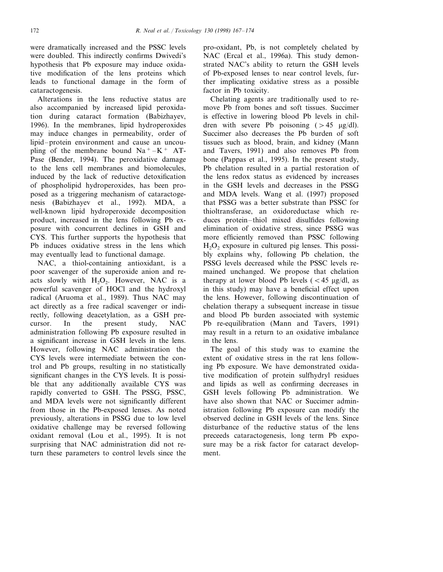were dramatically increased and the PSSC levels were doubled. This indirectly confirms Dwivedi's hypothesis that Pb exposure may induce oxidative modification of the lens proteins which leads to functional damage in the form of cataractogenesis.

Alterations in the lens reductive status are also accompanied by increased lipid peroxidation during cataract formation (Babizhayev, 1996). In the membranes, lipid hydroperoxides may induce changes in permeability, order of lipid–protein environment and cause an uncoupling of the membrane bound  $Na^+ - K^+$  AT-Pase (Bender, 1994). The peroxidative damage to the lens cell membranes and biomolecules, induced by the lack of reductive detoxification of phospholipid hydroperoxides, has been proposed as a triggering mechanism of cataractogenesis (Babizhayev et al., 1992). MDA, a well-known lipid hydroperoxide decomposition product, increased in the lens following Pb exposure with concurrent declines in GSH and CYS. This further supports the hypothesis that Pb induces oxidative stress in the lens which may eventually lead to functional damage.

NAC, a thiol-containing antioxidant, is a poor scavenger of the superoxide anion and reacts slowly with  $H_2O_2$ . However, NAC is a powerful scavenger of HOCl and the hydroxyl radical (Aruoma et al., 1989). Thus NAC may act directly as a free radical scavenger or indirectly, following deacetylation, as a GSH precursor. In the present study, NAC administration following Pb exposure resulted in a significant increase in GSH levels in the lens. However, following NAC administration the CYS levels were intermediate between the control and Pb groups, resulting in no statistically significant changes in the CYS levels. It is possible that any additionally available CYS was rapidly converted to GSH. The PSSG, PSSC, and MDA levels were not significantly different from those in the Pb-exposed lenses. As noted previously, alterations in PSSG due to low level oxidative challenge may be reversed following oxidant removal (Lou et al., 1995). It is not surprising that NAC administration did not return these parameters to control levels since the pro-oxidant, Pb, is not completely chelated by NAC (Ercal et al., 1996a). This study demonstrated NAC's ability to return the GSH levels of Pb-exposed lenses to near control levels, further implicating oxidative stress as a possible factor in Pb toxicity.

Chelating agents are traditionally used to remove Pb from bones and soft tissues. Succimer is effective in lowering blood Pb levels in children with severe Pb poisoning  $(>45 \text{ }\mu\text{g/dl}).$ Succimer also decreases the Pb burden of soft tissues such as blood, brain, and kidney (Mann and Tavers, 1991) and also removes Pb from bone (Pappas et al., 1995). In the present study, Pb chelation resulted in a partial restoration of the lens redox status as evidenced by increases in the GSH levels and decreases in the PSSG and MDA levels. Wang et al. (1997) proposed that PSSG was a better substrate than PSSC for thioltransferase, an oxidoreductase which reduces protein–thiol mixed disulfides following elimination of oxidative stress, since PSSG was more efficiently removed than PSSC following  $H<sub>2</sub>O<sub>2</sub>$  exposure in cultured pig lenses. This possibly explains why, following Pb chelation, the PSSG levels decreased while the PSSC levels remained unchanged. We propose that chelation therapy at lower blood Pb levels  $\zeta < 45$  µg/dl, as in this study) may have a beneficial effect upon the lens. However, following discontinuation of chelation therapy a subsequent increase in tissue and blood Pb burden associated with systemic Pb re-equilibration (Mann and Tavers, 1991) may result in a return to an oxidative imbalance in the lens.

The goal of this study was to examine the extent of oxidative stress in the rat lens following Pb exposure. We have demonstrated oxidative modification of protein sulfhydryl residues and lipids as well as confirming decreases in GSH levels following Pb administration. We have also shown that NAC or Succimer administration following Pb exposure can modify the observed decline in GSH levels of the lens. Since disturbance of the reductive status of the lens preceeds cataractogenesis, long term Pb exposure may be a risk factor for cataract development.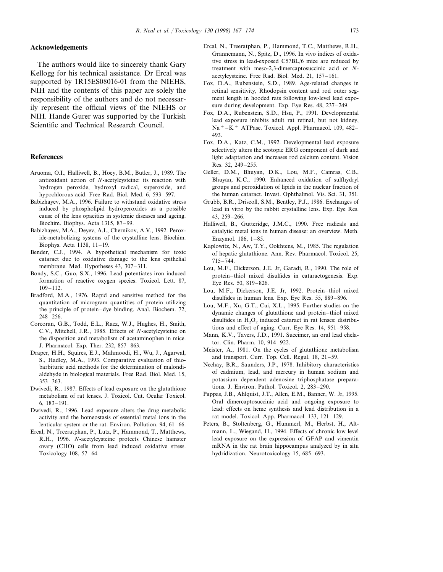#### **Acknowledgements**

The authors would like to sincerely thank Gary Kellogg for his technical assistance. Dr Ercal was supported by 1R15ES08016-01 from the NIEHS, NIH and the contents of this paper are solely the responsibility of the authors and do not necessarily represent the official views of the NIEHS or NIH. Hande Gurer was supported by the Turkish Scientific and Technical Research Council.

### **References**

- Aruoma, O.I., Halliwell, B., Hoey, B.M., Butler, J., 1989. The antioxidant action of *N*-acetylcysteine: its reaction with hydrogen peroxide, hydroxyl radical, superoxide, and hypochlorous acid. Free Rad. Biol. Med. 6, 593–597.
- Babizhayev, M.A., 1996. Failure to withstand oxidative stress induced by phospholipid hydroperoxides as a possible cause of the lens opacities in systemic diseases and ageing. Biochim. Biophys. Acta 1315, 87–99.
- Babizhayev, M.A., Deyev, A.I., Chernikov, A.V., 1992. Peroxide-metabolizing systems of the crystalline lens. Biochim. Biophys. Acta 1138, 11–19.
- Bender, C.J., 1994. A hypothetical mechanism for toxic cataract due to oxidative damage to the lens epithelial membrane. Med. Hypotheses 43, 307–311.
- Bondy, S.C., Guo, S.X., 1996. Lead potentiates iron induced formation of reactive oxygen species. Toxicol. Lett. 87, 109–112.
- Bradford, M.A., 1976. Rapid and sensitive method for the quantitation of microgram quantities of protein utilizing the principle of protein–dye binding. Anal. Biochem. 72, 248–256.
- Corcoran, G.B., Todd, E.L., Racz, W.J., Hughes, H., Smith, C.V., Mitchell, J.R., 1985. Effects of *N*-acetylcysteine on the disposition and metabolism of acetaminophen in mice. J. Pharmacol. Exp. Ther. 232, 857–863.
- Draper, H.H., Squires, E.J., Mahmoodi, H., Wu, J., Agarwal, S., Hadley, M.A., 1993. Comparative evaluation of thiobarbituric acid methods for the determination of malondialdehyde in biological materials. Free Rad. Biol. Med. 15, 353–363.
- Dwivedi, R., 1987. Effects of lead exposure on the glutathione metabolism of rat lenses. J. Toxicol. Cut. Ocular Toxicol. 6, 183–191.
- Dwivedi, R., 1996. Lead exposure alters the drug metabolic activity and the homeostasis of essential metal ions in the lenticular system or the rat. Environ. Pollution. 94, 61–66.
- Ercal, N., Treeratphan, P., Lutz, P., Hammond, T., Matthews, R.H., 1996. *N*-acetylcysteine protects Chinese hamster ovary (CHO) cells from lead induced oxidative stress. Toxicology 108, 57–64.
- Ercal, N., Treeratphan, P., Hammond, T.C., Matthews, R.H., Grannemann, N., Spitz, D., 1996. In vivo indices of oxidative stress in lead-exposed C57BL/6 mice are reduced by treatment with meso-2,3-dimercaptosuccinic acid or *N*acetylcysteine. Free Rad. Biol. Med. 21, 157–161.
- Fox, D.A., Rubenstein, S.D., 1989. Age-related changes in retinal sensitivity, Rhodopsin content and rod outer segment length in hooded rats following low-level lead exposure during development. Exp. Eye Res. 48, 237–249.
- Fox, D.A., Rubenstein, S.D., Hsu, P., 1991. Developmental lead exposure inhibits adult rat retinal, but not kidney,  $Na<sup>+</sup> - K<sup>+</sup>$  ATPase. Toxicol. Appl. Pharmacol. 109, 482– 493.
- Fox, D.A., Katz, C.M., 1992. Developmental lead exposure selectively alters the scotopic ERG component of dark and light adaptation and increases rod calcium content. Vision Res. 32, 249–255.
- Geller, D.M., Bhuyan, D.K., Lou, M.F., Camras, C.B., Bhuyan, K.C., 1990. Enhanced oxidation of sulfhydryl groups and peroxidation of lipids in the nuclear fraction of the human cataract. Invest. Ophthalmol. Vis. Sci. 31, 351.
- Grubb, B.R., Driscoll, S.M., Bentley, P.J., 1986. Exchanges of lead in vitro by the rabbit crystalline lens. Exp. Eye Res. 43, 259–266.
- Halliwell, B., Gutteridge, J.M.C., 1990. Free radicals and catalytic metal ions in human disease: an overview. Meth. Enzymol. 186, 1–85.
- Kaplowitz, N., Aw, T.Y., Ookhtens, M., 1985. The regulation of hepatic glutathione. Ann. Rev. Pharmacol. Toxicol. 25, 715–744.
- Lou, M.F., Dickerson, J.E. Jr, Garadi, R., 1990. The role of protein–thiol mixed disulfides in cataractogenesis. Exp. Eye Res. 50, 819–826.
- Lou, M.F., Dickerson, J.E. Jr, 1992. Protein–thiol mixed disulfides in human lens. Exp. Eye Res. 55, 889–896.
- Lou, M.F., Xu, G.T., Cui, X.L., 1995. Further studies on the dynamic changes of glutathione and protein–thiol mixed disulfides in  $H_2O_2$  induced cataract in rat lenses: distributions and effect of aging. Curr. Eye Res. 14, 951–958.
- Mann, K.V., Tavers, J.D., 1991. Succimer, an oral lead chelator. Clin. Pharm. 10, 914–922.
- Meister, A., 1981. On the cycles of glutathione metabolism and transport. Curr. Top. Cell. Regul. 18, 21–59.
- Nechay, B.R., Saunders, J.P., 1978. Inhibitory characteristics of cadmium, lead, and mercury in human sodium and potassium dependent adenosine triphosphatase preparations. J. Environ. Pathol. Toxicol. 2, 283–290.
- Pappas, J.B., Ahlquist, J.T., Allen, E.M., Banner, W. Jr, 1995. Oral dimercaptosuccinic acid and ongoing exposure to lead: effects on heme synthesis and lead distribution in a rat model. Toxicol. App. Pharmacol. 133, 121–129.
- Peters, B., Stoltenberg, G., Hummerl, M., Herbst, H., Altmann, L., Wiegand, H., 1994. Effects of chronic low level lead exposure on the expression of GFAP and vimentin mRNA in the rat brain hippocampus analyzed by in situ hydridization. Neurotoxicology 15, 685–693.